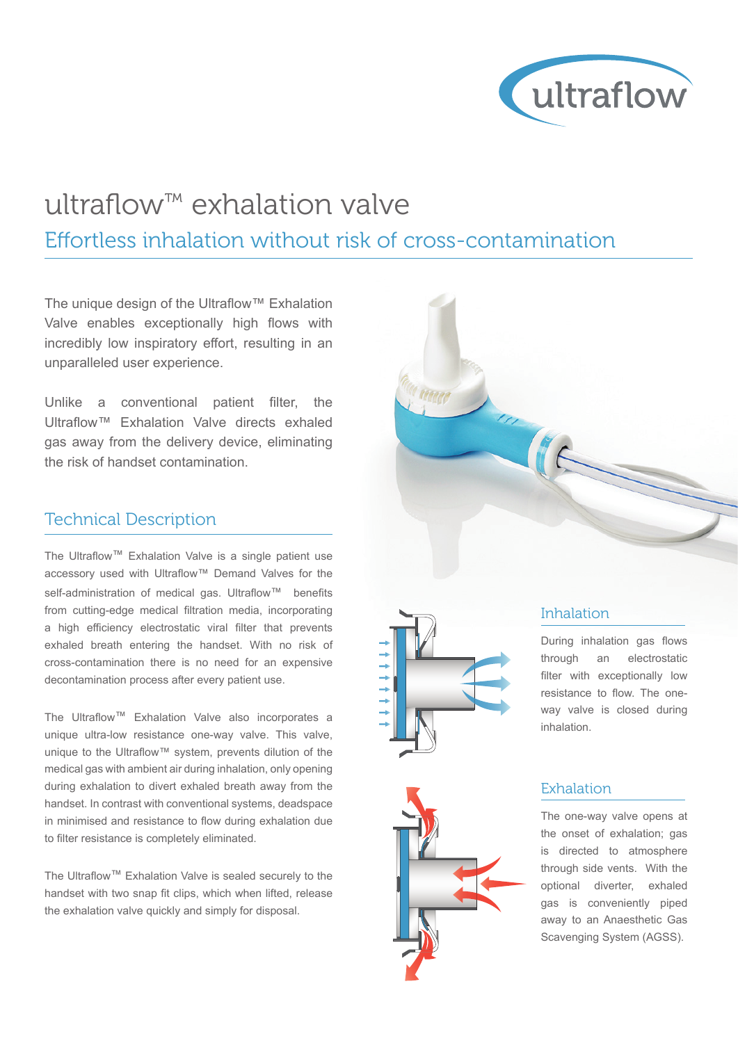

# ultraflow™ exhalation valve

Effortless inhalation without risk of cross-contamination

The unique design of the Ultraflow™ Exhalation Valve enables exceptionally high flows with incredibly low inspiratory effort, resulting in an unparalleled user experience.

Unlike a conventional patient filter, the Ultraflow™ Exhalation Valve directs exhaled gas away from the delivery device, eliminating the risk of handset contamination.

### Technical Description

The Ultraflow™ Exhalation Valve is a single patient use accessory used with Ultraflow™ Demand Valves for the self-administration of medical gas. Ultraflow<sup>™</sup> benefits from cutting-edge medical filtration media, incorporating a high efficiency electrostatic viral filter that prevents exhaled breath entering the handset. With no risk of cross-contamination there is no need for an expensive decontamination process after every patient use.

The Ultraflow™ Exhalation Valve also incorporates a unique ultra-low resistance one-way valve. This valve, unique to the Ultraflow™ system, prevents dilution of the medical gas with ambient air during inhalation, only opening during exhalation to divert exhaled breath away from the handset. In contrast with conventional systems, deadspace in minimised and resistance to flow during exhalation due to filter resistance is completely eliminated.

The Ultraflow™ Exhalation Valve is sealed securely to the handset with two snap fit clips, which when lifted, release the exhalation valve quickly and simply for disposal.





## Inhalation

During inhalation gas flows through an electrostatic filter with exceptionally low resistance to flow. The oneway valve is closed during inhalation.

#### **Exhalation**

The one-way valve opens at the onset of exhalation; gas is directed to atmosphere through side vents. With the optional diverter, exhaled gas is conveniently piped away to an Anaesthetic Gas Scavenging System (AGSS).